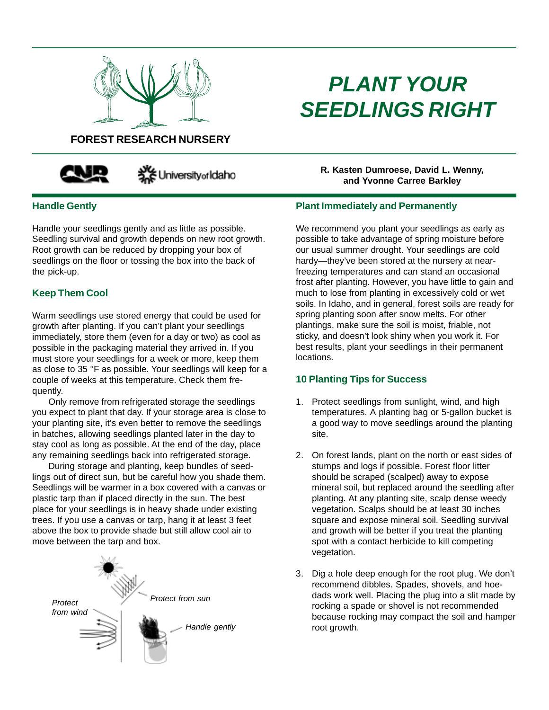

# *PLANT YOUR SEEDLINGS RIGHT*

# **FOREST RESEARCH NURSERY**



Securiversity of Idaho

## **Handle Gently**

Handle your seedlings gently and as little as possible. Seedling survival and growth depends on new root growth. Root growth can be reduced by dropping your box of seedlings on the floor or tossing the box into the back of the pick-up.

## **Keep Them Cool**

Warm seedlings use stored energy that could be used for growth after planting. If you can't plant your seedlings immediately, store them (even for a day or two) as cool as possible in the packaging material they arrived in. If you must store your seedlings for a week or more, keep them as close to 35 °F as possible. Your seedlings will keep for a couple of weeks at this temperature. Check them frequently.

Only remove from refrigerated storage the seedlings you expect to plant that day. If your storage area is close to your planting site, it's even better to remove the seedlings in batches, allowing seedlings planted later in the day to stay cool as long as possible. At the end of the day, place any remaining seedlings back into refrigerated storage.

During storage and planting, keep bundles of seedlings out of direct sun, but be careful how you shade them. Seedlings will be warmer in a box covered with a canvas or plastic tarp than if placed directly in the sun. The best place for your seedlings is in heavy shade under existing trees. If you use a canvas or tarp, hang it at least 3 feet above the box to provide shade but still allow cool air to move between the tarp and box.



**R. Kasten Dumroese, David L. Wenny, and Yvonne Carree Barkley**

### **Plant Immediately and Permanently**

We recommend you plant your seedlings as early as possible to take advantage of spring moisture before our usual summer drought. Your seedlings are cold hardy—they've been stored at the nursery at nearfreezing temperatures and can stand an occasional frost after planting. However, you have little to gain and much to lose from planting in excessively cold or wet soils. In Idaho, and in general, forest soils are ready for spring planting soon after snow melts. For other plantings, make sure the soil is moist, friable, not sticky, and doesn't look shiny when you work it. For best results, plant your seedlings in their permanent locations.

## **10 Planting Tips for Success**

- 1. Protect seedlings from sunlight, wind, and high temperatures. A planting bag or 5-gallon bucket is a good way to move seedlings around the planting site.
- 2. On forest lands, plant on the north or east sides of stumps and logs if possible. Forest floor litter should be scraped (scalped) away to expose mineral soil, but replaced around the seedling after planting. At any planting site, scalp dense weedy vegetation. Scalps should be at least 30 inches square and expose mineral soil. Seedling survival and growth will be better if you treat the planting spot with a contact herbicide to kill competing vegetation.
- 3. Dig a hole deep enough for the root plug. We don't recommend dibbles. Spades, shovels, and hoedads work well. Placing the plug into a slit made by rocking a spade or shovel is not recommended because rocking may compact the soil and hamper root growth.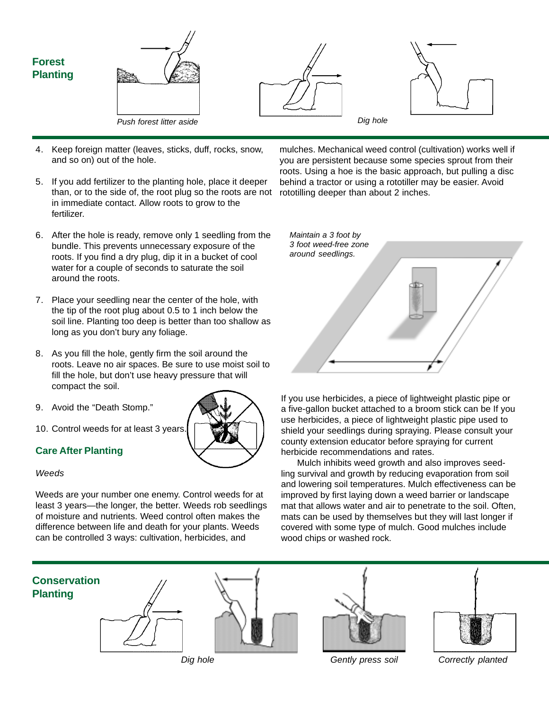

- 4. Keep foreign matter (leaves, sticks, duff, rocks, snow, and so on) out of the hole.
- 5. If you add fertilizer to the planting hole, place it deeper than, or to the side of, the root plug so the roots are not in immediate contact. Allow roots to grow to the fertilizer.
- 6. After the hole is ready, remove only 1 seedling from the bundle. This prevents unnecessary exposure of the roots. If you find a dry plug, dip it in a bucket of cool water for a couple of seconds to saturate the soil around the roots.
- 7. Place your seedling near the center of the hole, with the tip of the root plug about 0.5 to 1 inch below the soil line. Planting too deep is better than too shallow as long as you don't bury any foliage.
- 8. As you fill the hole, gently firm the soil around the roots. Leave no air spaces. Be sure to use moist soil to fill the hole, but don't use heavy pressure that will compact the soil.
- 9. Avoid the "Death Stomp."
- 10. Control weeds for at least 3 years.

## **Care After Planting**

#### *Weeds*

Weeds are your number one enemy. Control weeds for at least 3 years—the longer, the better. Weeds rob seedlings of moisture and nutrients. Weed control often makes the difference between life and death for your plants. Weeds can be controlled 3 ways: cultivation, herbicides, and

mulches. Mechanical weed control (cultivation) works well if you are persistent because some species sprout from their roots. Using a hoe is the basic approach, but pulling a disc behind a tractor or using a rototiller may be easier. Avoid rototilling deeper than about 2 inches.



If you use herbicides, a piece of lightweight plastic pipe or a five-gallon bucket attached to a broom stick can be If you use herbicides, a piece of lightweight plastic pipe used to shield your seedlings during spraying. Please consult your county extension educator before spraying for current herbicide recommendations and rates.

Mulch inhibits weed growth and also improves seedling survival and growth by reducing evaporation from soil and lowering soil temperatures. Mulch effectiveness can be improved by first laying down a weed barrier or landscape mat that allows water and air to penetrate to the soil. Often, mats can be used by themselves but they will last longer if covered with some type of mulch. Good mulches include wood chips or washed rock.



*Dig hole Gently press soil Correctly planted*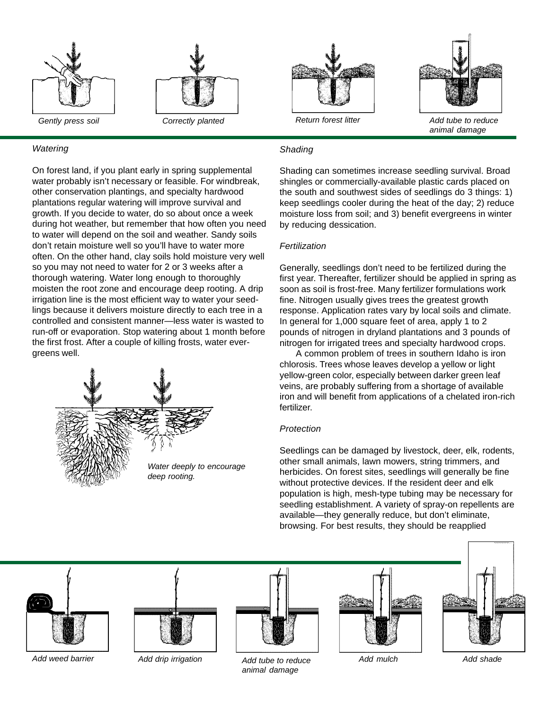



#### *Watering*

On forest land, if you plant early in spring supplemental water probably isn't necessary or feasible. For windbreak, other conservation plantings, and specialty hardwood plantations regular watering will improve survival and growth. If you decide to water, do so about once a week during hot weather, but remember that how often you need to water will depend on the soil and weather. Sandy soils don't retain moisture well so you'll have to water more often. On the other hand, clay soils hold moisture very well so you may not need to water for 2 or 3 weeks after a thorough watering. Water long enough to thoroughly moisten the root zone and encourage deep rooting. A drip irrigation line is the most efficient way to water your seedlings because it delivers moisture directly to each tree in a controlled and consistent manner—less water is wasted to run-off or evaporation. Stop watering about 1 month before the first frost. After a couple of killing frosts, water evergreens well.





*animal damage*

#### *Shading*

Shading can sometimes increase seedling survival. Broad shingles or commercially-available plastic cards placed on the south and southwest sides of seedlings do 3 things: 1) keep seedlings cooler during the heat of the day; 2) reduce moisture loss from soil; and 3) benefit evergreens in winter by reducing dessication.

#### *Fertilization*

Generally, seedlings don't need to be fertilized during the first year. Thereafter, fertilizer should be applied in spring as soon as soil is frost-free. Many fertilizer formulations work fine. Nitrogen usually gives trees the greatest growth response. Application rates vary by local soils and climate. In general for 1,000 square feet of area, apply 1 to 2 pounds of nitrogen in dryland plantations and 3 pounds of nitrogen for irrigated trees and specialty hardwood crops.

A common problem of trees in southern Idaho is iron chlorosis. Trees whose leaves develop a yellow or light yellow-green color, especially between darker green leaf veins, are probably suffering from a shortage of available iron and will benefit from applications of a chelated iron-rich fertilizer.

#### *Protection*

Seedlings can be damaged by livestock, deer, elk, rodents, other small animals, lawn mowers, string trimmers, and herbicides. On forest sites, seedlings will generally be fine without protective devices. If the resident deer and elk population is high, mesh-type tubing may be necessary for seedling establishment. A variety of spray-on repellents are available—they generally reduce, but don't eliminate, browsing. For best results, they should be reapplied